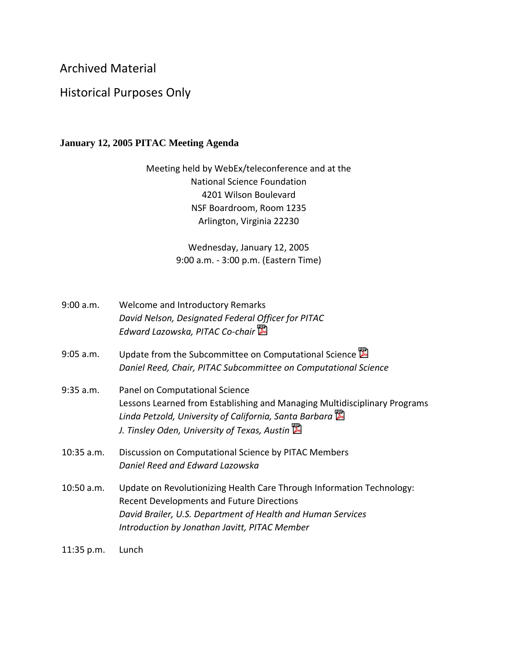## Archived Material

## Historical Purposes Only

## **January 12, 2005 PITAC Meeting Agenda**

Meeting held by WebEx/teleconference and at the National Science Foundation 4201 Wilson Boulevard NSF Boardroom, Room 1235 Arlington, Virginia 22230

> Wednesday, January 12, 2005 9:00 a.m. - 3:00 p.m. (Eastern Time)

| 9:00 a.m.    | Welcome and Introductory Remarks<br>David Nelson, Designated Federal Officer for PITAC<br>Edward Lazowska, PITAC Co-chair                                                                                                                 |
|--------------|-------------------------------------------------------------------------------------------------------------------------------------------------------------------------------------------------------------------------------------------|
| $9:05$ a.m.  | Update from the Subcommittee on Computational Science<br>Daniel Reed, Chair, PITAC Subcommittee on Computational Science                                                                                                                  |
| $9:35$ a.m.  | Panel on Computational Science<br>Lessons Learned from Establishing and Managing Multidisciplinary Programs<br>Linda Petzold, University of California, Santa Barbara<br>J. Tinsley Oden, University of Texas, Austin                     |
| $10:35$ a.m. | Discussion on Computational Science by PITAC Members<br>Daniel Reed and Edward Lazowska                                                                                                                                                   |
| $10:50$ a.m. | Update on Revolutionizing Health Care Through Information Technology:<br><b>Recent Developments and Future Directions</b><br>David Brailer, U.S. Department of Health and Human Services<br>Introduction by Jonathan Javitt, PITAC Member |
| 11:35 p.m.   | Lunch                                                                                                                                                                                                                                     |